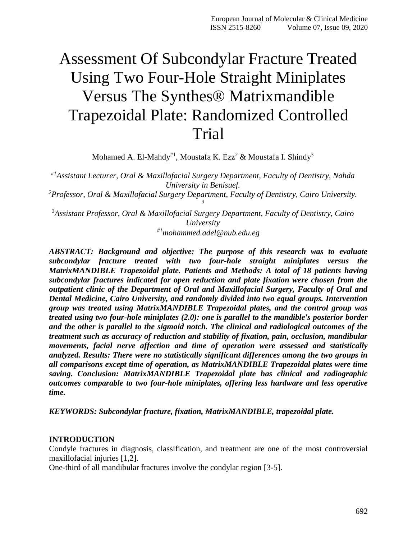# Assessment Of Subcondylar Fracture Treated Using Two Four-Hole Straight Miniplates Versus The Synthes® Matrixmandible Trapezoidal Plate: Randomized Controlled Trial

Mohamed A. El-Mahdy $^{\#1}$ , Moustafa K. Ezz $^2$  & Moustafa I. Shindy $^3$ 

*Assistant Lecturer, Oral & Maxillofacial Surgery Department, Faculty of Dentistry, Nahda* #*<sup>1</sup> University in Benisuef. Professor, Oral & Maxillofacial Surgery Department, Faculty of Dentistry, Cairo University. <sup>2</sup> 3*

*Assistant Professor, Oral & Maxillofacial Surgery Department, Faculty of Dentistry, Cairo <sup>3</sup> University #1mohammed.adel@nub.edu.eg*

*ABSTRACT: Background and objective: The purpose of this research was to evaluate subcondylar fracture treated with two four-hole straight miniplates versus the MatrixMANDIBLE Trapezoidal plate. Patients and Methods: A total of 18 patients having subcondylar fractures indicated for open reduction and plate fixation were chosen from the outpatient clinic of the Department of Oral and Maxillofacial Surgery, Faculty of Oral and Dental Medicine, Cairo University, and randomly divided into two equal groups. Intervention group was treated using MatrixMANDIBLE Trapezoidal plates, and the control group was treated using two four-hole miniplates (2.0): one is parallel to the mandible's posterior border and the other is parallel to the sigmoid notch. The clinical and radiological outcomes of the treatment such as accuracy of reduction and stability of fixation, pain, occlusion, mandibular movements, facial nerve affection and time of operation were assessed and statistically analyzed. Results: There were no statistically significant differences among the two groups in all comparisons except time of operation, as MatrixMANDIBLE Trapezoidal plates were time saving. Conclusion: MatrixMANDIBLE Trapezoidal plate has clinical and radiographic outcomes comparable to two four-hole miniplates, offering less hardware and less operative time.*

*KEYWORDS: Subcondylar fracture, fixation, MatrixMANDIBLE, trapezoidal plate.*

#### **INTRODUCTION**

Condyle fractures in diagnosis, classification, and treatment are one of the most controversial maxillofacial injuries [1,2].

One-third of all mandibular fractures involve the condylar region [3-5].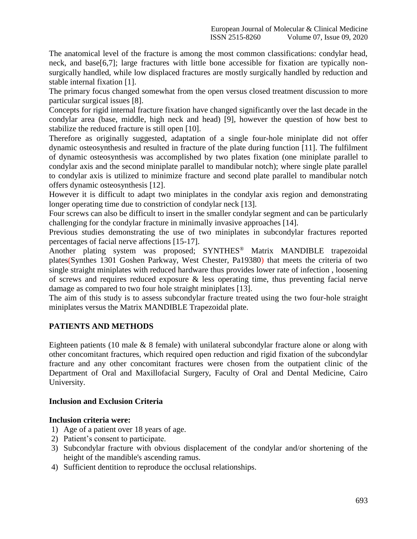The anatomical level of the fracture is among the most common classifications: condylar head, neck, and base[6,7]; large fractures with little bone accessible for fixation are typically nonsurgically handled, while low displaced fractures are mostly surgically handled by reduction and stable internal fixation [1].

The primary focus changed somewhat from the open versus closed treatment discussion to more particular surgical issues [8].

Concepts for rigid internal fracture fixation have changed significantly over the last decade in the condylar area (base, middle, high neck and head) [9], however the question of how best to stabilize the reduced fracture is still open [10].

Therefore as originally suggested, adaptation of a single four-hole miniplate did not offer dynamic osteosynthesis and resulted in fracture of the plate during function [11]. The fulfilment of dynamic osteosynthesis was accomplished by two plates fixation (one miniplate parallel to condylar axis and the second miniplate parallel to mandibular notch); where single plate parallel to condylar axis is utilized to minimize fracture and second plate parallel to mandibular notch offers dynamic osteosynthesis [12].

However it is difficult to adapt two miniplates in the condylar axis region and demonstrating longer operating time due to constriction of condylar neck [13].

Four screws can also be difficult to insert in the smaller condylar segment and can be particularly challenging for the condylar fracture in minimally invasive approaches [14].

Previous studies demonstrating the use of two miniplates in subcondylar fractures reported percentages of facial nerve affections [15-17].

Another plating system was proposed; SYNTHES<sup>®</sup> Matrix MANDIBLE trapezoidal plates(Synthes 1301 Goshen Parkway, West Chester, Pa19380) that meets the criteria of two single straight miniplates with reduced hardware thus provides lower rate of infection , loosening of screws and requires reduced exposure & less operating time, thus preventing facial nerve damage as compared to two four hole straight miniplates [13].

The aim of this study is to assess subcondylar fracture treated using the two four-hole straight miniplates versus the Matrix MANDIBLE Trapezoidal plate.

# **PATIENTS AND METHODS**

Eighteen patients (10 male & 8 female) with unilateral subcondylar fracture alone or along with other concomitant fractures, which required open reduction and rigid fixation of the subcondylar fracture and any other concomitant fractures were chosen from the outpatient clinic of the Department of Oral and Maxillofacial Surgery, Faculty of Oral and Dental Medicine, Cairo University.

#### **Inclusion and Exclusion Criteria**

# **Inclusion criteria were:**

- 1) Age of a patient over 18 years of age.
- 2) Patient's consent to participate.
- 3) Subcondylar fracture with obvious displacement of the condylar and/or shortening of the height of the mandible's ascending ramus.
- 4) Sufficient dentition to reproduce the occlusal relationships.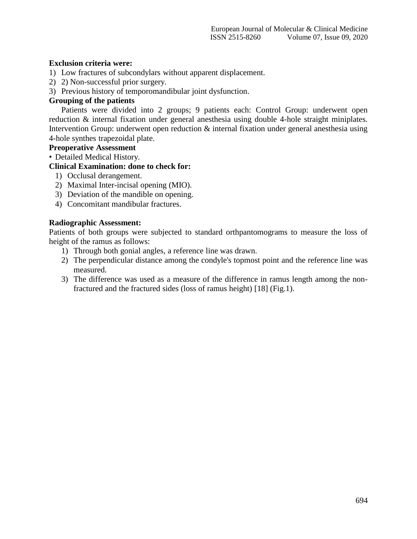## **Exclusion criteria were:**

- 1) Low fractures of subcondylars without apparent displacement.
- 2) 2) Non-successful prior surgery.
- 3) Previous history of temporomandibular joint dysfunction.

#### **Grouping of the patients**

Patients were divided into 2 groups; 9 patients each: Control Group: underwent open reduction & internal fixation under general anesthesia using double 4-hole straight miniplates. Intervention Group: underwent open reduction & internal fixation under general anesthesia using 4-hole synthes trapezoidal plate.

#### **Preoperative Assessment**

• Detailed Medical History.

# **Clinical Examination: done to check for:**

- 1) Occlusal derangement.
- 2) Maximal Inter-incisal opening (MIO).
- 3) Deviation of the mandible on opening.
- 4) Concomitant mandibular fractures.

## **Radiographic Assessment:**

Patients of both groups were subjected to standard orthpantomograms to measure the loss of height of the ramus as follows:

- 1) Through both gonial angles, a reference line was drawn.
- 2) The perpendicular distance among the condyle's topmost point and the reference line was measured.
- 3) The difference was used as a measure of the difference in ramus length among the nonfractured and the fractured sides (loss of ramus height) [18] (Fig.1).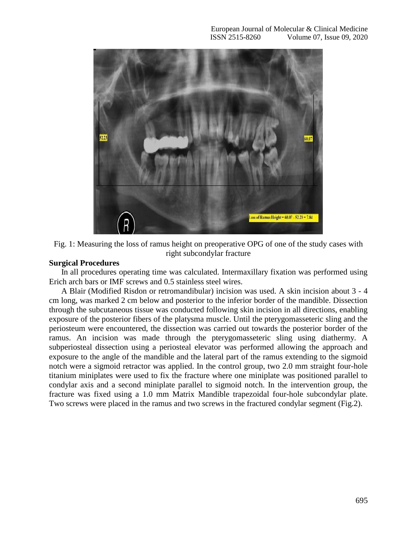



#### **Surgical Procedures**

In all procedures operating time was calculated. Intermaxillary fixation was performed using Erich arch bars or IMF screws and 0.5 stainless steel wires.

A Blair (Modified Risdon or retromandibular) incision was used. A skin incision about 3 - 4 cm long, was marked 2 cm below and posterior to the inferior border of the mandible. Dissection through the subcutaneous tissue was conducted following skin incision in all directions, enabling exposure of the posterior fibers of the platysma muscle. Until the pterygomasseteric sling and the periosteum were encountered, the dissection was carried out towards the posterior border of the ramus. An incision was made through the pterygomasseteric sling using diathermy. A subperiosteal dissection using a periosteal elevator was performed allowing the approach and exposure to the angle of the mandible and the lateral part of the ramus extending to the sigmoid notch were a sigmoid retractor was applied. In the control group, two 2.0 mm straight four-hole titanium miniplates were used to fix the fracture where one miniplate was positioned parallel to condylar axis and a second miniplate parallel to sigmoid notch. In the intervention group, the fracture was fixed using a 1.0 mm Matrix Mandible trapezoidal four-hole subcondylar plate. Two screws were placed in the ramus and two screws in the fractured condylar segment (Fig.2).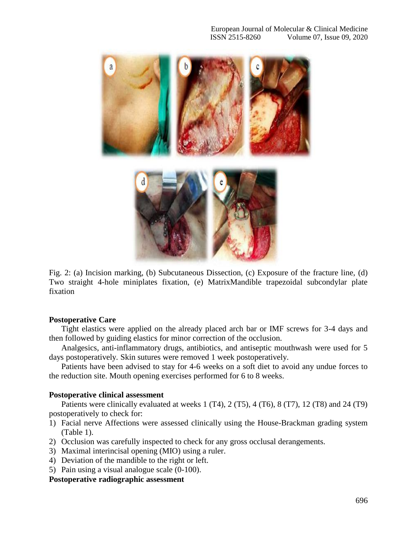

Fig. 2: (a) Incision marking, (b) Subcutaneous Dissection, (c) Exposure of the fracture line, (d) Two straight 4-hole miniplates fixation, (e) MatrixMandible trapezoidal subcondylar plate fixation

#### **Postoperative Care**

Tight elastics were applied on the already placed arch bar or IMF screws for 3-4 days and then followed by guiding elastics for minor correction of the occlusion.

Analgesics, anti-inflammatory drugs, antibiotics, and antiseptic mouthwash were used for 5 days postoperatively. Skin sutures were removed 1 week postoperatively.

Patients have been advised to stay for 4-6 weeks on a soft diet to avoid any undue forces to the reduction site. Mouth opening exercises performed for 6 to 8 weeks.

#### **Postoperative clinical assessment**

Patients were clinically evaluated at weeks 1 (T4), 2 (T5), 4 (T6), 8 (T7), 12 (T8) and 24 (T9) postoperatively to check for:

- 1) Facial nerve Affections were assessed clinically using the House-Brackman grading system (Table 1).
- 2) Occlusion was carefully inspected to check for any gross occlusal derangements.
- 3) Maximal interincisal opening (MIO) using a ruler.
- 4) Deviation of the mandible to the right or left.
- 5) Pain using a visual analogue scale (0-100).

#### **Postoperative radiographic assessment**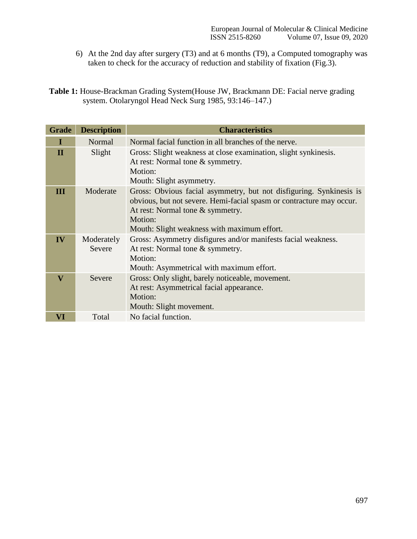- 6) At the 2nd day after surgery (T3) and at 6 months (T9), a Computed tomography was taken to check for the accuracy of reduction and stability of fixation (Fig.3).
- **Table 1:** House-Brackman Grading System(House JW, Brackmann DE: Facial nerve grading system. Otolaryngol Head Neck Surg 1985, 93:146–147.)

| <b>Grade</b>            | <b>Description</b>   | <b>Characteristics</b>                                                                                                                                                                                                                    |  |  |  |  |
|-------------------------|----------------------|-------------------------------------------------------------------------------------------------------------------------------------------------------------------------------------------------------------------------------------------|--|--|--|--|
| I                       | Normal               | Normal facial function in all branches of the nerve.                                                                                                                                                                                      |  |  |  |  |
| $\Pi$                   | Slight               | Gross: Slight weakness at close examination, slight synkinesis.<br>At rest: Normal tone & symmetry.<br>Motion:<br>Mouth: Slight asymmetry.                                                                                                |  |  |  |  |
| Ш                       | Moderate             | Gross: Obvious facial asymmetry, but not disfiguring. Synkinesis is<br>obvious, but not severe. Hemi-facial spasm or contracture may occur.<br>At rest: Normal tone & symmetry.<br>Motion:<br>Mouth: Slight weakness with maximum effort. |  |  |  |  |
| IV                      | Moderately<br>Severe | Gross: Asymmetry disfigures and/or manifests facial weakness.<br>At rest: Normal tone & symmetry.<br>Motion:<br>Mouth: Asymmetrical with maximum effort.                                                                                  |  |  |  |  |
| $\overline{\mathbf{V}}$ | Severe               | Gross: Only slight, barely noticeable, movement.<br>At rest: Asymmetrical facial appearance.<br>Motion:<br>Mouth: Slight movement.                                                                                                        |  |  |  |  |
| VI                      | Total                | No facial function.                                                                                                                                                                                                                       |  |  |  |  |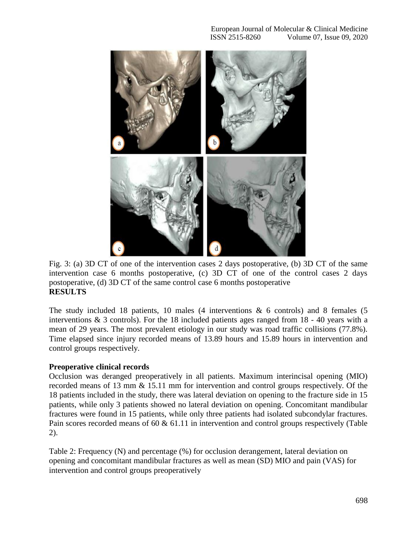

Fig. 3: (a) 3D CT of one of the intervention cases 2 days postoperative, (b) 3D CT of the same intervention case 6 months postoperative, (c) 3D CT of one of the control cases 2 days postoperative, (d) 3D CT of the same control case 6 months postoperative **RESULTS**

The study included 18 patients, 10 males  $(4$  interventions  $\&$  6 controls) and 8 females  $(5)$ interventions & 3 controls). For the 18 included patients ages ranged from 18 - 40 years with a mean of 29 years. The most prevalent etiology in our study was road traffic collisions (77.8%). Time elapsed since injury recorded means of 13.89 hours and 15.89 hours in intervention and control groups respectively.

# **Preoperative clinical records**

Occlusion was deranged preoperatively in all patients. Maximum interincisal opening (MIO) recorded means of 13 mm & 15.11 mm for intervention and control groups respectively. Of the 18 patients included in the study, there was lateral deviation on opening to the fracture side in 15 patients, while only 3 patients showed no lateral deviation on opening. Concomitant mandibular fractures were found in 15 patients, while only three patients had isolated subcondylar fractures. Pain scores recorded means of 60 & 61.11 in intervention and control groups respectively (Table 2).

Table 2: Frequency (N) and percentage (%) for occlusion derangement, lateral deviation on opening and concomitant mandibular fractures as well as mean (SD) MIO and pain (VAS) for intervention and control groups preoperatively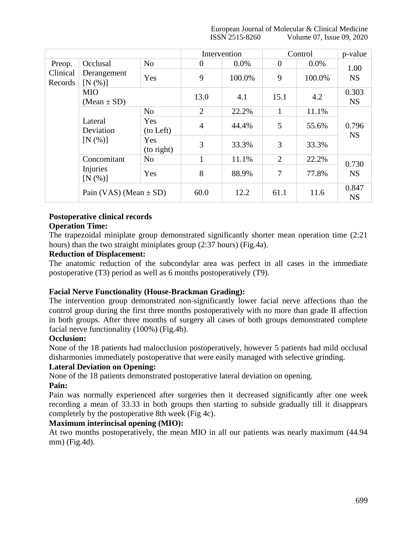European Journal of Molecular & Clinical Medicine ISSN 2515-8260 Volume 07, Issue 09, 2020

|                     |                                      |                     | Intervention   |         | Control        |         | p-value            |
|---------------------|--------------------------------------|---------------------|----------------|---------|----------------|---------|--------------------|
| Preop.              | Occlusal                             | No                  | $\overline{0}$ | $0.0\%$ | $\overline{0}$ | $0.0\%$ | 1.00               |
| Clinical<br>Records | Derangement<br>$[N(\%)]$             | Yes                 | 9              | 100.0%  | 9              | 100.0%  | <b>NS</b>          |
|                     | <b>MIO</b><br>$(Mean \pm SD)$        |                     | 13.0           | 4.1     | 15.1           | 4.2     | 0.303<br><b>NS</b> |
|                     | Lateral<br>Deviation<br>[N(%)]       | No                  | 2              | 22.2%   | 1              | 11.1%   | 0.796<br><b>NS</b> |
|                     |                                      | Yes<br>(to Left)    | $\overline{4}$ | 44.4%   | 5              | 55.6%   |                    |
|                     |                                      | Yes<br>$(to$ right) | 3              | 33.3%   | 3              | 33.3%   |                    |
|                     | Concomitant<br>Injuries<br>$[N(\%)]$ | No                  |                | 11.1%   | $\overline{2}$ | 22.2%   | 0.730              |
|                     |                                      | Yes                 | 8              | 88.9%   | 7              | 77.8%   | <b>NS</b>          |
|                     | Pain (VAS) (Mean $\pm$ SD)           |                     | 60.0           | 12.2    | 61.1           | 11.6    | 0.847<br><b>NS</b> |

# **Postoperative clinical records**

## **Operation Time:**

The trapezoidal miniplate group demonstrated significantly shorter mean operation time (2:21 hours) than the two straight miniplates group (2:37 hours) (Fig.4a).

## **Reduction of Displacement:**

The anatomic reduction of the subcondylar area was perfect in all cases in the immediate postoperative (T3) period as well as 6 months postoperatively (T9).

# **Facial Nerve Functionality (House-Brackman Grading):**

The intervention group demonstrated non-significantly lower facial nerve affections than the control group during the first three months postoperatively with no more than grade II affection in both groups. After three months of surgery all cases of both groups demonstrated complete facial nerve functionality (100%) (Fig.4b).

#### **Occlusion:**

None of the 18 patients had malocclusion postoperatively, however 5 patients had mild occlusal disharmonies immediately postoperative that were easily managed with selective grinding.

# **Lateral Deviation on Opening:**

None of the 18 patients demonstrated postoperative lateral deviation on opening.

#### **Pain:**

Pain was normally experienced after surgeries then it decreased significantly after one week recording a mean of 33.33 in both groups then starting to subside gradually till it disappears completely by the postoperative 8th week (Fig 4c).

# **Maximum interincisal opening (MIO):**

At two months postoperatively, the mean MIO in all our patients was nearly maximum (44.94 mm) (Fig.4d).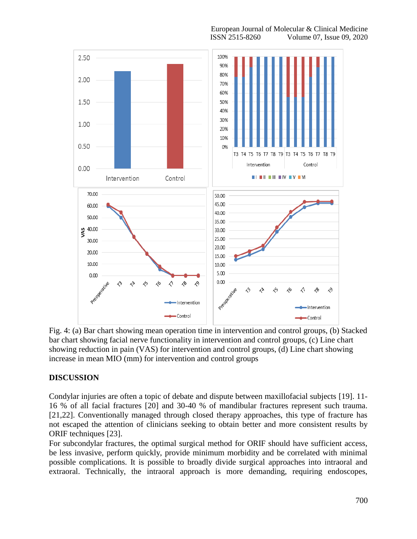

European Journal of Molecular & Clinical Medicine ISSN 2515-8260 Volume 07, Issue 09, 2020

Fig. 4: (a) Bar chart showing mean operation time in intervention and control groups, (b) Stacked bar chart showing facial nerve functionality in intervention and control groups, (c) Line chart showing reduction in pain (VAS) for intervention and control groups, (d) Line chart showing increase in mean MIO (mm) for intervention and control groups

# **DISCUSSION**

Condylar injuries are often a topic of debate and dispute between maxillofacial subjects [19]. 11- 16 % of all facial fractures [20] and 30-40 % of mandibular fractures represent such trauma. [21,22]. Conventionally managed through closed therapy approaches, this type of fracture has not escaped the attention of clinicians seeking to obtain better and more consistent results by ORIF techniques [23].

For subcondylar fractures, the optimal surgical method for ORIF should have sufficient access, be less invasive, perform quickly, provide minimum morbidity and be correlated with minimal possible complications. It is possible to broadly divide surgical approaches into intraoral and extraoral. Technically, the intraoral approach is more demanding, requiring endoscopes,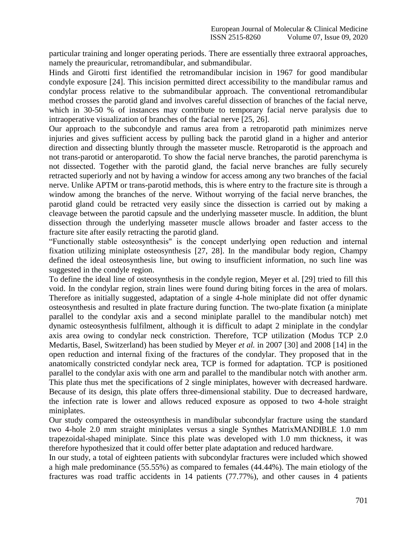particular training and longer operating periods. There are essentially three extraoral approaches, namely the preauricular, retromandibular, and submandibular.

Hinds and Girotti first identified the retromandibular incision in 1967 for good mandibular condyle exposure [24]. This incision permitted direct accessibility to the mandibular ramus and condylar process relative to the submandibular approach. The conventional retromandibular method crosses the parotid gland and involves careful dissection of branches of the facial nerve, which in 30-50 % of instances may contribute to temporary facial nerve paralysis due to intraoperative visualization of branches of the facial nerve [25, 26].

Our approach to the subcondyle and ramus area from a retroparotid path minimizes nerve injuries and gives sufficient access by pulling back the parotid gland in a higher and anterior direction and dissecting bluntly through the masseter muscle. Retroparotid is the approach and not trans-parotid or anteroparotid. To show the facial nerve branches, the parotid parenchyma is not dissected. Together with the parotid gland, the facial nerve branches are fully securely retracted superiorly and not by having a window for access among any two branches of the facial nerve. Unlike APTM or trans-parotid methods, this is where entry to the fracture site is through a window among the branches of the nerve. Without worrying of the facial nerve branches, the parotid gland could be retracted very easily since the dissection is carried out by making a cleavage between the parotid capsule and the underlying masseter muscle. In addition, the blunt dissection through the underlying masseter muscle allows broader and faster access to the fracture site after easily retracting the parotid gland.

"Functionally stable osteosynthesis" is the concept underlying open reduction and internal fixation utilizing miniplate osteosynthesis [27, 28]. In the mandibular body region, Champy defined the ideal osteosynthesis line, but owing to insufficient information, no such line was suggested in the condyle region.

To define the ideal line of osteosynthesis in the condyle region, Meyer et al. [29] tried to fill this void. In the condylar region, strain lines were found during biting forces in the area of molars. Therefore as initially suggested, adaptation of a single 4-hole miniplate did not offer dynamic osteosynthesis and resulted in plate fracture during function. The two-plate fixation (a miniplate parallel to the condylar axis and a second miniplate parallel to the mandibular notch) met dynamic osteosynthesis fulfilment, although it is difficult to adapt 2 miniplate in the condylar axis area owing to condylar neck constriction. Therefore, TCP utilization (Modus TCP 2.0 Medartis, Basel, Switzerland) has been studied by Meyer *et al.* in 2007 [30] and 2008 [14] in the open reduction and internal fixing of the fractures of the condylar. They proposed that in the anatomically constricted condylar neck area, TCP is formed for adaptation. TCP is positioned parallel to the condylar axis with one arm and parallel to the mandibular notch with another arm. This plate thus met the specifications of 2 single miniplates, however with decreased hardware. Because of its design, this plate offers three-dimensional stability. Due to decreased hardware, the infection rate is lower and allows reduced exposure as opposed to two 4-hole straight miniplates.

Our study compared the osteosynthesis in mandibular subcondylar fracture using the standard two 4-hole 2.0 mm straight miniplates versus a single Synthes MatrixMANDIBLE 1.0 mm trapezoidal-shaped miniplate. Since this plate was developed with 1.0 mm thickness, it was therefore hypothesized that it could offer better plate adaptation and reduced hardware.

In our study, a total of eighteen patients with subcondylar fractures were included which showed a high male predominance (55.55%) as compared to females (44.44%). The main etiology of the fractures was road traffic accidents in 14 patients (77.77%), and other causes in 4 patients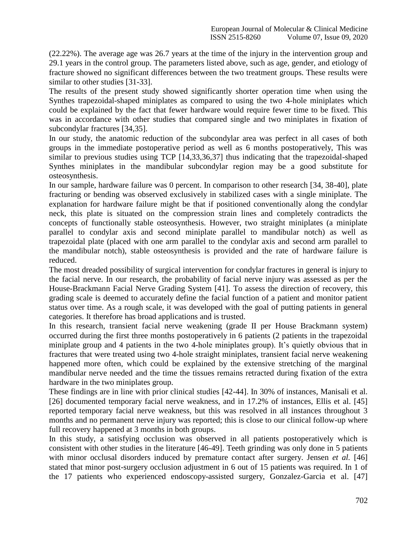(22.22%). The average age was 26.7 years at the time of the injury in the intervention group and 29.1 years in the control group. The parameters listed above, such as age, gender, and etiology of fracture showed no significant differences between the two treatment groups. These results were similar to other studies [31-33].

The results of the present study showed significantly shorter operation time when using the Synthes trapezoidal-shaped miniplates as compared to using the two 4-hole miniplates which could be explained by the fact that fewer hardware would require fewer time to be fixed. This was in accordance with other studies that compared single and two miniplates in fixation of subcondylar fractures [34,35].

In our study, the anatomic reduction of the subcondylar area was perfect in all cases of both groups in the immediate postoperative period as well as 6 months postoperatively, This was similar to previous studies using TCP [14,33,36,37] thus indicating that the trapezoidal-shaped Synthes miniplates in the mandibular subcondylar region may be a good substitute for osteosynthesis.

In our sample, hardware failure was 0 percent. In comparison to other research [34, 38-40], plate fracturing or bending was observed exclusively in stabilized cases with a single miniplate. The explanation for hardware failure might be that if positioned conventionally along the condylar neck, this plate is situated on the compression strain lines and completely contradicts the concepts of functionally stable osteosynthesis. However, two straight miniplates (a miniplate parallel to condylar axis and second miniplate parallel to mandibular notch) as well as trapezoidal plate (placed with one arm parallel to the condylar axis and second arm parallel to the mandibular notch), stable osteosynthesis is provided and the rate of hardware failure is reduced.

The most dreaded possibility of surgical intervention for condylar fractures in general is injury to the facial nerve. In our research, the probability of facial nerve injury was assessed as per the House-Brackmann Facial Nerve Grading System [41]. To assess the direction of recovery, this grading scale is deemed to accurately define the facial function of a patient and monitor patient status over time. As a rough scale, it was developed with the goal of putting patients in general categories. It therefore has broad applications and is trusted.

In this research, transient facial nerve weakening (grade II per House Brackmann system) occurred during the first three months postoperatively in 6 patients (2 patients in the trapezoidal miniplate group and 4 patients in the two 4-hole miniplates group). It's quietly obvious that in fractures that were treated using two 4-hole straight miniplates, transient facial nerve weakening happened more often, which could be explained by the extensive stretching of the marginal mandibular nerve needed and the time the tissues remains retracted during fixation of the extra hardware in the two miniplates group.

These findings are in line with prior clinical studies [42-44]. In 30% of instances, Manisali et al. [26] documented temporary facial nerve weakness, and in 17.2% of instances, Ellis et al. [45] reported temporary facial nerve weakness, but this was resolved in all instances throughout 3 months and no permanent nerve injury was reported; this is close to our clinical follow-up where full recovery happened at 3 months in both groups.

In this study, a satisfying occlusion was observed in all patients postoperatively which is consistent with other studies in the literature [46-49]. Teeth grinding was only done in 5 patients with minor occlusal disorders induced by premature contact after surgery. Jensen *et al.* [46] stated that minor post-surgery occlusion adjustment in 6 out of 15 patients was required. In 1 of the 17 patients who experienced endoscopy-assisted surgery, Gonzalez-Garcia et al. [47]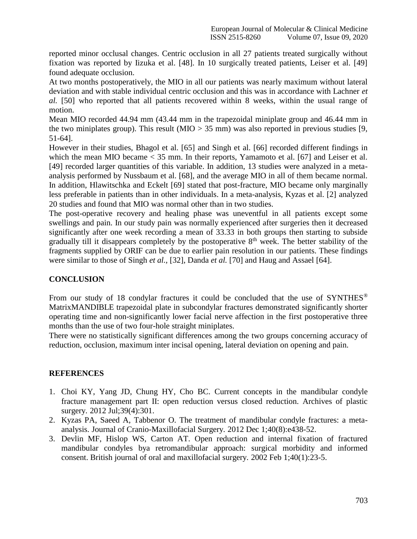reported minor occlusal changes. Centric occlusion in all 27 patients treated surgically without fixation was reported by Iizuka et al. [48]. In 10 surgically treated patients, Leiser et al. [49] found adequate occlusion.

At two months postoperatively, the MIO in all our patients was nearly maximum without lateral deviation and with stable individual centric occlusion and this was in accordance with Lachner *et al.* [50] who reported that all patients recovered within 8 weeks, within the usual range of motion.

Mean MIO recorded 44.94 mm (43.44 mm in the trapezoidal miniplate group and 46.44 mm in the two miniplates group). This result (MIO  $> 35$  mm) was also reported in previous studies [9, 51-64].

However in their studies, Bhagol et al. [65] and Singh et al. [66] recorded different findings in which the mean MIO became < 35 mm. In their reports, Yamamoto et al. [67] and Leiser et al. [49] recorded larger quantities of this variable. In addition, 13 studies were analyzed in a metaanalysis performed by Nussbaum et al. [68], and the average MIO in all of them became normal. In addition, Hlawitschka and Eckelt [69] stated that post-fracture, MIO became only marginally less preferable in patients than in other individuals. In a meta-analysis, Kyzas et al. [2] analyzed 20 studies and found that MIO was normal other than in two studies.

The post-operative recovery and healing phase was uneventful in all patients except some swellings and pain. In our study pain was normally experienced after surgeries then it decreased significantly after one week recording a mean of 33.33 in both groups then starting to subside gradually till it disappears completely by the postoperative  $8<sup>th</sup>$  week. The better stability of the fragments supplied by ORIF can be due to earlier pain resolution in our patients. These findings were similar to those of Singh *et al.,* [32], Danda *et al.* [70] and Haug and Assael [64].

# **CONCLUSION**

From our study of 18 condylar fractures it could be concluded that the use of SYNTHES<sup>®</sup> MatrixMANDIBLE trapezoidal plate in subcondylar fractures demonstrated significantly shorter operating time and non-significantly lower facial nerve affection in the first postoperative three months than the use of two four-hole straight miniplates.

There were no statistically significant differences among the two groups concerning accuracy of reduction, occlusion, maximum inter incisal opening, lateral deviation on opening and pain.

# **REFERENCES**

- 1. Choi KY, Yang JD, Chung HY, Cho BC. Current concepts in the mandibular condyle fracture management part II: open reduction versus closed reduction. Archives of plastic surgery. 2012 Jul;39(4):301.
- 2. Kyzas PA, Saeed A, Tabbenor O. The treatment of mandibular condyle fractures: a metaanalysis. Journal of Cranio-Maxillofacial Surgery. 2012 Dec 1;40(8):e438-52.
- 3. Devlin MF, Hislop WS, Carton AT. Open reduction and internal fixation of fractured mandibular condyles bya retromandibular approach: surgical morbidity and informed consent. British journal of oral and maxillofacial surgery. 2002 Feb 1;40(1):23-5.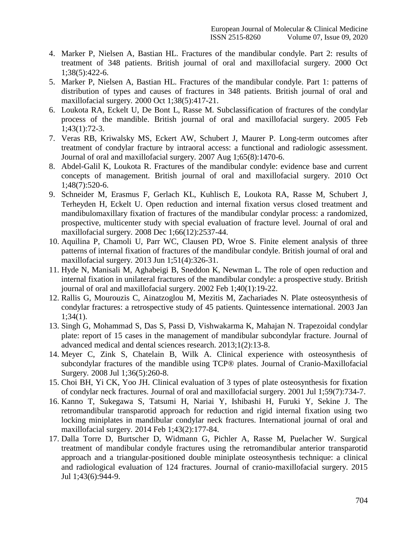- 4. Marker P, Nielsen A, Bastian HL. Fractures of the mandibular condyle. Part 2: results of treatment of 348 patients. British journal of oral and maxillofacial surgery. 2000 Oct 1;38(5):422-6.
- 5. Marker P, Nielsen A, Bastian HL. Fractures of the mandibular condyle. Part 1: patterns of distribution of types and causes of fractures in 348 patients. British journal of oral and maxillofacial surgery. 2000 Oct 1;38(5):417-21.
- 6. Loukota RA, Eckelt U, De Bont L, Rasse M. Subclassification of fractures of the condylar process of the mandible. British journal of oral and maxillofacial surgery. 2005 Feb 1;43(1):72-3.
- 7. Veras RB, Kriwalsky MS, Eckert AW, Schubert J, Maurer P. Long-term outcomes after treatment of condylar fracture by intraoral access: a functional and radiologic assessment. Journal of oral and maxillofacial surgery. 2007 Aug 1;65(8):1470-6.
- 8. Abdel-Galil K, Loukota R. Fractures of the mandibular condyle: evidence base and current concepts of management. British journal of oral and maxillofacial surgery. 2010 Oct 1;48(7):520-6.
- 9. Schneider M, Erasmus F, Gerlach KL, Kuhlisch E, Loukota RA, Rasse M, Schubert J, Terheyden H, Eckelt U. Open reduction and internal fixation versus closed treatment and mandibulomaxillary fixation of fractures of the mandibular condylar process: a randomized, prospective, multicenter study with special evaluation of fracture level. Journal of oral and maxillofacial surgery. 2008 Dec 1;66(12):2537-44.
- 10. Aquilina P, Chamoli U, Parr WC, Clausen PD, Wroe S. Finite element analysis of three patterns of internal fixation of fractures of the mandibular condyle. British journal of oral and maxillofacial surgery. 2013 Jun 1;51(4):326-31.
- 11. Hyde N, Manisali M, Aghabeigi B, Sneddon K, Newman L. The role of open reduction and internal fixation in unilateral fractures of the mandibular condyle: a prospective study. British journal of oral and maxillofacial surgery. 2002 Feb 1;40(1):19-22.
- 12. Rallis G, Mourouzis C, Ainatzoglou M, Mezitis M, Zachariades N. Plate osteosynthesis of condylar fractures: a retrospective study of 45 patients. Quintessence international. 2003 Jan 1;34(1).
- 13. Singh G, Mohammad S, Das S, Passi D, Vishwakarma K, Mahajan N. Trapezoidal condylar plate: report of 15 cases in the management of mandibular subcondylar fracture. Journal of advanced medical and dental sciences research. 2013;1(2):13-8.
- 14. Meyer C, Zink S, Chatelain B, Wilk A. Clinical experience with osteosynthesis of subcondylar fractures of the mandible using TCP® plates. Journal of Cranio-Maxillofacial Surgery. 2008 Jul 1;36(5):260-8.
- 15. Choi BH, Yi CK, Yoo JH. Clinical evaluation of 3 types of plate osteosynthesis for fixation of condylar neck fractures. Journal of oral and maxillofacial surgery. 2001 Jul 1;59(7):734-7.
- 16. Kanno T, Sukegawa S, Tatsumi H, Nariai Y, Ishibashi H, Furuki Y, Sekine J. The retromandibular transparotid approach for reduction and rigid internal fixation using two locking miniplates in mandibular condylar neck fractures. International journal of oral and maxillofacial surgery. 2014 Feb 1;43(2):177-84.
- 17. Dalla Torre D, Burtscher D, Widmann G, Pichler A, Rasse M, Puelacher W. Surgical treatment of mandibular condyle fractures using the retromandibular anterior transparotid approach and a triangular-positioned double miniplate osteosynthesis technique: a clinical and radiological evaluation of 124 fractures. Journal of cranio-maxillofacial surgery. 2015 Jul 1;43(6):944-9.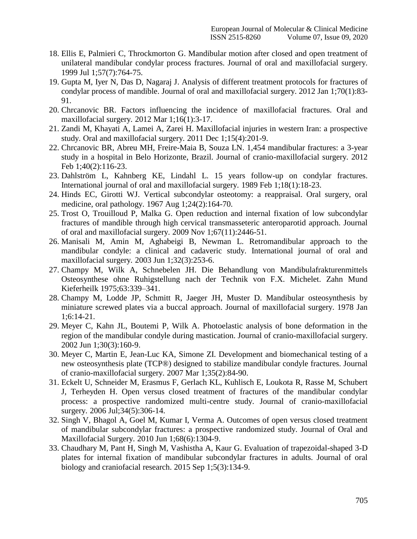- 18. Ellis E, Palmieri C, Throckmorton G. Mandibular motion after closed and open treatment of unilateral mandibular condylar process fractures. Journal of oral and maxillofacial surgery. 1999 Jul 1;57(7):764-75.
- 19. Gupta M, Iyer N, Das D, Nagaraj J. Analysis of different treatment protocols for fractures of condylar process of mandible. Journal of oral and maxillofacial surgery. 2012 Jan 1;70(1):83- 91.
- 20. Chrcanovic BR. Factors influencing the incidence of maxillofacial fractures. Oral and maxillofacial surgery. 2012 Mar 1;16(1):3-17.
- 21. Zandi M, Khayati A, Lamei A, Zarei H. Maxillofacial injuries in western Iran: a prospective study. Oral and maxillofacial surgery. 2011 Dec 1;15(4):201-9.
- 22. Chrcanovic BR, Abreu MH, Freire-Maia B, Souza LN. 1,454 mandibular fractures: a 3-year study in a hospital in Belo Horizonte, Brazil. Journal of cranio-maxillofacial surgery. 2012 Feb 1;40(2):116-23.
- 23. Dahlström L, Kahnberg KE, Lindahl L. 15 years follow-up on condylar fractures. International journal of oral and maxillofacial surgery. 1989 Feb 1;18(1):18-23.
- 24. Hinds EC, Girotti WJ. Vertical subcondylar osteotomy: a reappraisal. Oral surgery, oral medicine, oral pathology. 1967 Aug 1;24(2):164-70.
- 25. Trost O, Trouilloud P, Malka G. Open reduction and internal fixation of low subcondylar fractures of mandible through high cervical transmasseteric anteroparotid approach. Journal of oral and maxillofacial surgery. 2009 Nov 1;67(11):2446-51.
- 26. Manisali M, Amin M, Aghabeigi B, Newman L. Retromandibular approach to the mandibular condyle: a clinical and cadaveric study. International journal of oral and maxillofacial surgery. 2003 Jun 1;32(3):253-6.
- 27. Champy M, Wilk A, Schnebelen JH. Die Behandlung von Mandibulafrakturenmittels Osteosynthese ohne Ruhigstellung nach der Technik von F.X. Michelet. Zahn Mund Kieferheilk 1975;63:339–341.
- 28. Champy M, Lodde JP, Schmitt R, Jaeger JH, Muster D. Mandibular osteosynthesis by miniature screwed plates via a buccal approach. Journal of maxillofacial surgery. 1978 Jan 1;6:14-21.
- 29. Meyer C, Kahn JL, Boutemi P, Wilk A. Photoelastic analysis of bone deformation in the region of the mandibular condyle during mastication. Journal of cranio-maxillofacial surgery. 2002 Jun 1;30(3):160-9.
- 30. Meyer C, Martin E, Jean-Luc KA, Simone ZI. Development and biomechanical testing of a new osteosynthesis plate (TCP®) designed to stabilize mandibular condyle fractures. Journal of cranio-maxillofacial surgery. 2007 Mar 1;35(2):84-90.
- 31. Eckelt U, Schneider M, Erasmus F, Gerlach KL, Kuhlisch E, Loukota R, Rasse M, Schubert J, Terheyden H. Open versus closed treatment of fractures of the mandibular condylar process: a prospective randomized multi-centre study. Journal of cranio-maxillofacial surgery. 2006 Jul;34(5):306-14.
- 32. Singh V, Bhagol A, Goel M, Kumar I, Verma A. Outcomes of open versus closed treatment of mandibular subcondylar fractures: a prospective randomized study. Journal of Oral and Maxillofacial Surgery. 2010 Jun 1;68(6):1304-9.
- 33. Chaudhary M, Pant H, Singh M, Vashistha A, Kaur G. Evaluation of trapezoidal-shaped 3-D plates for internal fixation of mandibular subcondylar fractures in adults. Journal of oral biology and craniofacial research. 2015 Sep 1;5(3):134-9.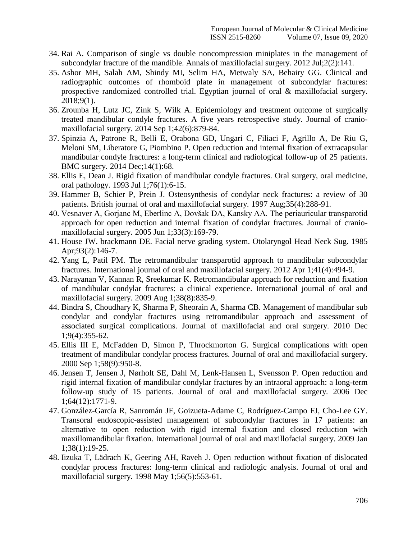- 34. Rai A. Comparison of single vs double noncompression miniplates in the management of subcondylar fracture of the mandible. Annals of maxillofacial surgery. 2012 Jul;2(2):141.
- 35. Ashor MH, Salah AM, Shindy MI, Selim HA, Metwaly SA, Behairy GG. Clinical and radiographic outcomes of rhomboid plate in management of subcondylar fractures: prospective randomized controlled trial. Egyptian journal of oral & maxillofacial surgery. 2018;9(1).
- 36. Zrounba H, Lutz JC, Zink S, Wilk A. Epidemiology and treatment outcome of surgically treated mandibular condyle fractures. A five years retrospective study. Journal of craniomaxillofacial surgery. 2014 Sep 1;42(6):879-84.
- 37. Spinzia A, Patrone R, Belli E, Orabona GD, Ungari C, Filiaci F, Agrillo A, De Riu G, Meloni SM, Liberatore G, Piombino P. Open reduction and internal fixation of extracapsular mandibular condyle fractures: a long-term clinical and radiological follow-up of 25 patients. BMC surgery. 2014 Dec;14(1):68.
- 38. Ellis E, Dean J. Rigid fixation of mandibular condyle fractures. Oral surgery, oral medicine, oral pathology. 1993 Jul 1;76(1):6-15.
- 39. Hammer B, Schier P, Prein J. Osteosynthesis of condylar neck fractures: a review of 30 patients. British journal of oral and maxillofacial surgery. 1997 Aug;35(4):288-91.
- 40. Vesnaver A, Gorjanc M, Eberlinc A, Dovšak DA, Kansky AA. The periauricular transparotid approach for open reduction and internal fixation of condylar fractures. Journal of craniomaxillofacial surgery. 2005 Jun 1;33(3):169-79.
- 41. House JW. brackmann DE. Facial nerve grading system. Otolaryngol Head Neck Sug. 1985 Apr;93(2):146-7.
- 42. Yang L, Patil PM. The retromandibular transparotid approach to mandibular subcondylar fractures. International journal of oral and maxillofacial surgery. 2012 Apr 1;41(4):494-9.
- 43. Narayanan V, Kannan R, Sreekumar K. Retromandibular approach for reduction and fixation of mandibular condylar fractures: a clinical experience. International journal of oral and maxillofacial surgery. 2009 Aug 1;38(8):835-9.
- 44. Bindra S, Choudhary K, Sharma P, Sheorain A, Sharma CB. Management of mandibular sub condylar and condylar fractures using retromandibular approach and assessment of associated surgical complications. Journal of maxillofacial and oral surgery. 2010 Dec 1;9(4):355-62.
- 45. Ellis III E, McFadden D, Simon P, Throckmorton G. Surgical complications with open treatment of mandibular condylar process fractures. Journal of oral and maxillofacial surgery. 2000 Sep 1;58(9):950-8.
- 46. Jensen T, Jensen J, Nørholt SE, Dahl M, Lenk-Hansen L, Svensson P. Open reduction and rigid internal fixation of mandibular condylar fractures by an intraoral approach: a long-term follow-up study of 15 patients. Journal of oral and maxillofacial surgery. 2006 Dec 1;64(12):1771-9.
- 47. González-García R, Sanromán JF, Goizueta-Adame C, Rodríguez-Campo FJ, Cho-Lee GY. Transoral endoscopic-assisted management of subcondylar fractures in 17 patients: an alternative to open reduction with rigid internal fixation and closed reduction with maxillomandibular fixation. International journal of oral and maxillofacial surgery. 2009 Jan 1;38(1):19-25.
- 48. Iizuka T, Lädrach K, Geering AH, Raveh J. Open reduction without fixation of dislocated condylar process fractures: long-term clinical and radiologic analysis. Journal of oral and maxillofacial surgery. 1998 May 1;56(5):553-61.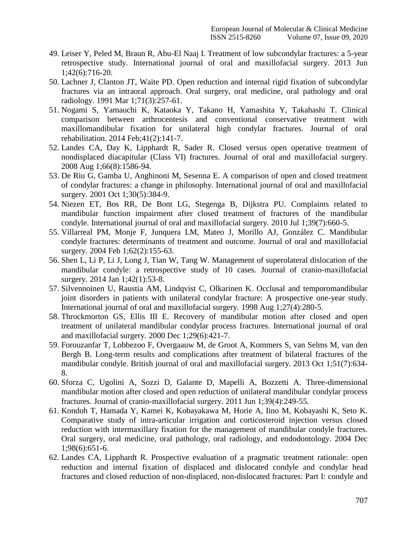- 49. Leiser Y, Peled M, Braun R, Abu-El Naaj I. Treatment of low subcondylar fractures: a 5-year retrospective study. International journal of oral and maxillofacial surgery. 2013 Jun 1;42(6):716-20.
- 50. Lachner J, Clanton JT, Waite PD. Open reduction and internal rigid fixation of subcondylar fractures via an intraoral approach. Oral surgery, oral medicine, oral pathology and oral radiology. 1991 Mar 1;71(3):257-61.
- 51. Nogami S, Yamauchi K, Kataoka Y, Takano H, Yamashita Y, Takahashi T. Clinical comparison between arthrocentesis and conventional conservative treatment with maxillomandibular fixation for unilateral high condylar fractures. Journal of oral rehabilitation. 2014 Feb;41(2):141-7.
- 52. Landes CA, Day K, Lipphardt R, Sader R. Closed versus open operative treatment of nondisplaced diacapitular (Class VI) fractures. Journal of oral and maxillofacial surgery. 2008 Aug 1;66(8):1586-94.
- 53. De Riu G, Gamba U, Anghinoni M, Sesenna E. A comparison of open and closed treatment of condylar fractures: a change in philosophy. International journal of oral and maxillofacial surgery. 2001 Oct 1;30(5):384-9.
- 54. Niezen ET, Bos RR, De Bont LG, Stegenga B, Dijkstra PU. Complaints related to mandibular function impairment after closed treatment of fractures of the mandibular condyle. International journal of oral and maxillofacial surgery. 2010 Jul 1;39(7):660-5.
- 55. Villarreal PM, Monje F, Junquera LM, Mateo J, Morillo AJ, González C. Mandibular condyle fractures: determinants of treatment and outcome. Journal of oral and maxillofacial surgery. 2004 Feb 1;62(2):155-63.
- 56. Shen L, Li P, Li J, Long J, Tian W, Tang W. Management of superolateral dislocation of the mandibular condyle: a retrospective study of 10 cases. Journal of cranio-maxillofacial surgery. 2014 Jan 1;42(1):53-8.
- 57. Silvennoinen U, Raustia AM, Lindqvist C, Olkarinen K. Occlusal and temporomandibular joint disorders in patients with unilateral condylar fracture: A prospective one-year study. International journal of oral and maxillofacial surgery. 1998 Aug  $1:27(4):280-5$ .
- 58. Throckmorton GS, Ellis III E. Recovery of mandibular motion after closed and open treatment of unilateral mandibular condylar process fractures. International journal of oral and maxillofacial surgery. 2000 Dec 1;29(6):421-7.
- 59. Forouzanfar T, Lobbezoo F, Overgaauw M, de Groot A, Kommers S, van Selms M, van den Bergh B. Long-term results and complications after treatment of bilateral fractures of the mandibular condyle. British journal of oral and maxillofacial surgery. 2013 Oct 1;51(7):634- 8.
- 60. Sforza C, Ugolini A, Sozzi D, Galante D, Mapelli A, Bozzetti A. Three-dimensional mandibular motion after closed and open reduction of unilateral mandibular condylar process fractures. Journal of cranio-maxillofacial surgery. 2011 Jun 1;39(4):249-55.
- 61. Kondoh T, Hamada Y, Kamei K, Kobayakawa M, Horie A, Iino M, Kobayashi K, Seto K. Comparative study of intra-articular irrigation and corticosteroid injection versus closed reduction with intermaxillary fixation for the management of mandibular condyle fractures. Oral surgery, oral medicine, oral pathology, oral radiology, and endodontology. 2004 Dec 1;98(6):651-6.
- 62. Landes CA, Lipphardt R. Prospective evaluation of a pragmatic treatment rationale: open reduction and internal fixation of displaced and dislocated condyle and condylar head fractures and closed reduction of non-displaced, non-dislocated fractures: Part I: condyle and